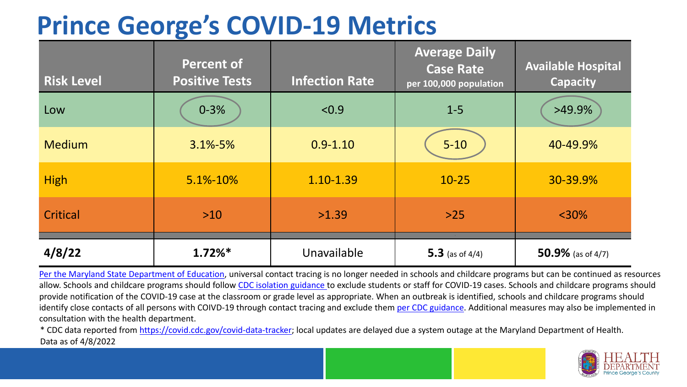## **Prince George's COVID-19 Metrics**

| <b>Risk Level</b> | <b>Percent of</b><br><b>Positive Tests</b> | <b>Infection Rate</b> | <b>Average Daily</b><br><b>Case Rate</b><br>per 100,000 population | <b>Available Hospital</b><br><b>Capacity</b> |
|-------------------|--------------------------------------------|-----------------------|--------------------------------------------------------------------|----------------------------------------------|
| Low               | $0 - 3%$                                   | < 0.9                 | $1 - 5$                                                            | $>49.9\%$                                    |
| <b>Medium</b>     | $3.1\% - 5\%$                              | $0.9 - 1.10$          | $5 - 10$                                                           | 40-49.9%                                     |
| <b>High</b>       | $5.1\% - 10\%$                             | 1.10-1.39             | $10 - 25$                                                          | 30-39.9%                                     |
| Critical          | $>10$                                      | >1.39                 | $>25$                                                              | $<$ 30%                                      |
| 4/8/22            | $1.72\%*$                                  | Unavailable           | 5.3 (as of $4/4$ )                                                 | 50.9% (as of $4/7$ )                         |

[Per the Maryland State Department of Education,](https://earlychildhood.marylandpublicschools.org/system/files/filedepot/3/covid_guidance_full_080420.pdf) universal contact tracing is no longer needed in schools and childcare programs but can be continued as resources allow. Schools and childcare programs should follow [CDC isolation guidance t](https://www.cdc.gov/coronavirus/2019-ncov/community/schools-childcare/k-12-contact-tracing/about-isolation.html)o exclude students or staff for COVID-19 cases. Schools and childcare programs should provide notification of the COVID-19 case at the classroom or grade level as appropriate. When an outbreak is identified, schools and childcare programs should identify close contacts of all persons with COIVD-19 through contact tracing and exclude them [per CDC guidance](https://www.cdc.gov/coronavirus/2019-ncov/your-health/quarantine-isolation.html). Additional measures may also be implemented in consultation with the health department.

\* CDC data reported from [https://covid.cdc.gov/covid-data-tracker;](https://covid.cdc.gov/covid-data-tracker) local updates are delayed due a system outage at the Maryland Department of Health. Data as of 4/8/2022

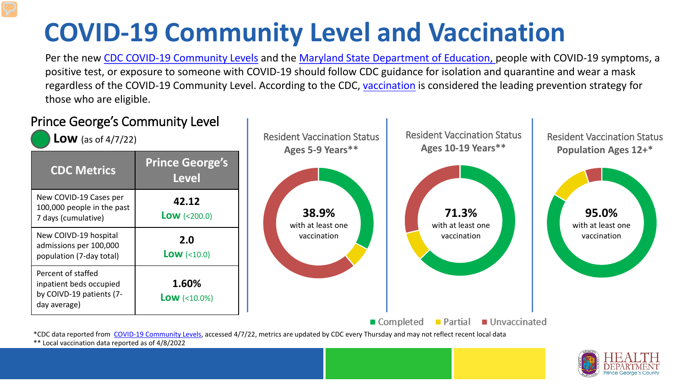## **COVID-19 Community Level and Vaccination**

Per the new [CDC COVID-19 Community Levels](https://www.cdc.gov/coronavirus/2019-ncov/science/community-levels.html#anchor_82254) and the [Maryland State Department of Education, p](https://earlychildhood.marylandpublicschools.org/system/files/filedepot/3/covid_guidance_full_080420.pdf)eople with COVID-19 symptoms, a positive test, or exposure to someone with COVID-19 should follow CDC guidance for isolation and quarantine and wear a mask regardless of the COVID-19 Community Level. According to the CDC, [vaccination](https://www.cdc.gov/coronavirus/2019-ncov/prevent-getting-sick/prevention.html) is considered the leading prevention strategy for those who are eligible.



\*\* Local vaccination data reported as of 4/8/2022

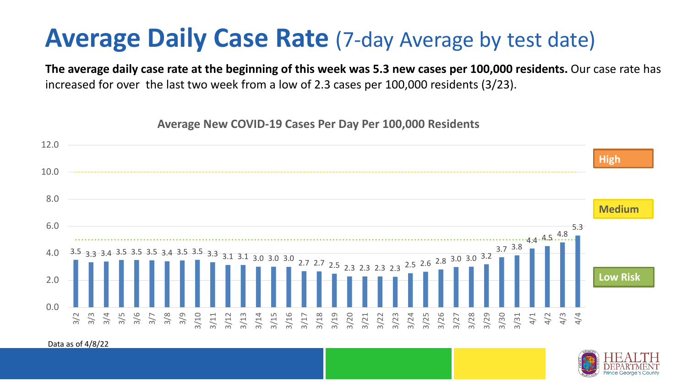## **Average Daily Case Rate** (7-day Average by test date)

**The average daily case rate at the beginning of this week was 5.3 new cases per 100,000 residents.** Our case rate has increased for over the last two week from a low of 2.3 cases per 100,000 residents (3/23).

**Average New COVID-19 Cases Per Day Per 100,000 Residents**